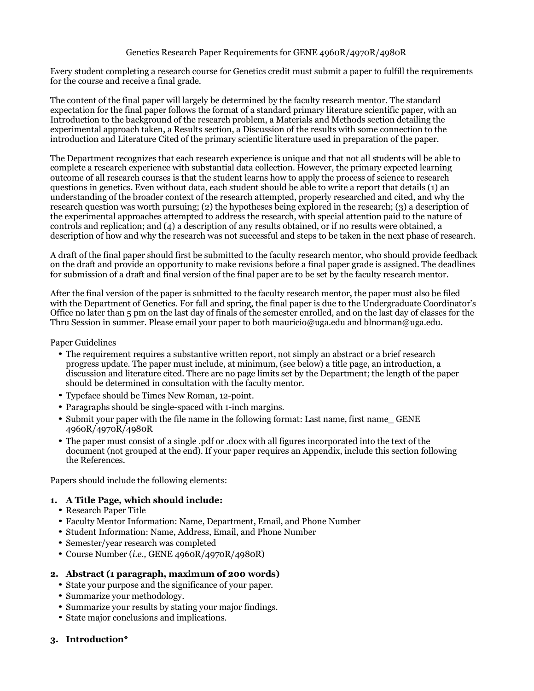## Genetics Research Paper Requirements for GENE 4960R/4970R/4980R

Every student completing a research course for Genetics credit must submit a paper to fulfill the requirements for the course and receive a final grade.

The content of the final paper will largely be determined by the faculty research mentor. The standard expectation for the final paper follows the format of a standard primary literature scientific paper, with an Introduction to the background of the research problem, a Materials and Methods section detailing the experimental approach taken, a Results section, a Discussion of the results with some connection to the introduction and Literature Cited of the primary scientific literature used in preparation of the paper.

The Department recognizes that each research experience is unique and that not all students will be able to complete a research experience with substantial data collection. However, the primary expected learning outcome of all research courses is that the student learns how to apply the process of science to research questions in genetics. Even without data, each student should be able to write a report that details (1) an understanding of the broader context of the research attempted, properly researched and cited, and why the research question was worth pursuing; (2) the hypotheses being explored in the research; (3) a description of the experimental approaches attempted to address the research, with special attention paid to the nature of controls and replication; and (4) a description of any results obtained, or if no results were obtained, a description of how and why the research was not successful and steps to be taken in the next phase of research.

A draft of the final paper should first be submitted to the faculty research mentor, who should provide feedback on the draft and provide an opportunity to make revisions before a final paper grade is assigned. The deadlines for submission of a draft and final version of the final paper are to be set by the faculty research mentor.

After the final version of the paper is submitted to the faculty research mentor, the paper must also be filed with the Department of Genetics. For fall and spring, the final paper is due to the Undergraduate Coordinator's Office no later than 5 pm on the last day of finals of the semester enrolled, and on the last day of classes for the Thru Session in summer. Please email your paper to both mauricio@uga.edu and blnorman@uga.edu.

#### Paper Guidelines

- The requirement requires a substantive written report, not simply an abstract or a brief research progress update. The paper must include, at minimum, (see below) a title page, an introduction, a discussion and literature cited. There are no page limits set by the Department; the length of the paper should be determined in consultation with the faculty mentor.
- Typeface should be Times New Roman, 12-point.
- Paragraphs should be single-spaced with 1-inch margins.
- Submit your paper with the file name in the following format: Last name, first name GENE 4960R/4970R/4980R
- The paper must consist of a single .pdf or .docx with all figures incorporated into the text of the document (not grouped at the end). If your paper requires an Appendix, include this section following the References.

Papers should include the following elements:

## **1. A Title Page, which should include:**

- Research Paper Title
- Faculty Mentor Information: Name, Department, Email, and Phone Number
- Student Information: Name, Address, Email, and Phone Number
- Semester/year research was completed
- Course Number (*i.e.,* GENE 4960R/4970R/4980R)

# **2. Abstract (1 paragraph, maximum of 200 words)**

- State your purpose and the significance of your paper.
- Summarize your methodology.
- Summarize your results by stating your major findings.
- State major conclusions and implications.
- **3. Introduction\***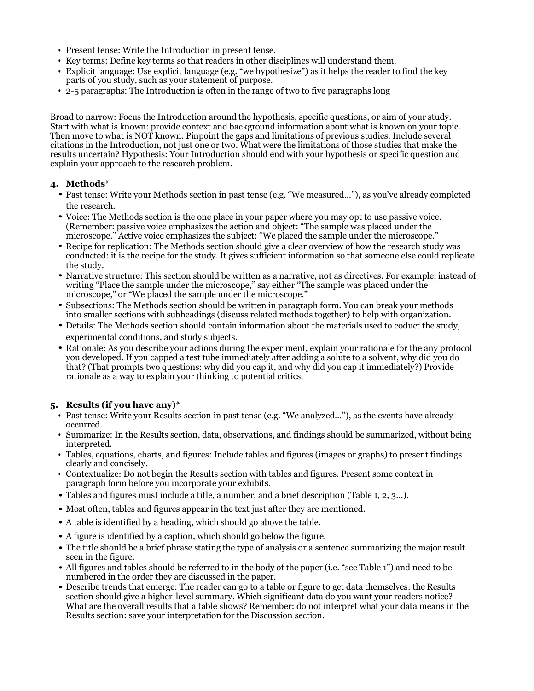- Present tense: Write the Introduction in present tense.
- Key terms: Define key terms so that readers in other disciplines will understand them.
- Explicit language: Use explicit language (e.g. "we hypothesize") as it helps the reader to find the key parts of you study, such as your statement of purpose.
- 2-5 paragraphs: The Introduction is often in the range of two to five paragraphs long

Broad to narrow: Focus the Introduction around the hypothesis, specific questions, or aim of your study. Start with what is known: provide context and background information about what is known on your topic. Then move to what is NOT known. Pinpoint the gaps and limitations of previous studies. Include several citations in the Introduction, not just one or two. What were the limitations of those studies that make the results uncertain? Hypothesis: Your Introduction should end with your hypothesis or specific question and explain your approach to the research problem.

## **4. Methods\***

- Past tense: Write your Methods section in past tense (e.g. "We measured…"), as you've already completed the research.
- Voice: The Methods section is the one place in your paper where you may opt to use passive voice. (Remember: passive voice emphasizes the action and object: "The sample was placed under the microscope." Active voice emphasizes the subject: "We placed the sample under the microscope."
- Recipe for replication: The Methods section should give a clear overview of how the research study was conducted: it is the recipe for the study. It gives sufficient information so that someone else could replicate the study.
- Narrative structure: This section should be written as a narrative, not as directives. For example, instead of writing "Place the sample under the microscope," say either "The sample was placed under the microscope," or "We placed the sample under the microscope."
- Subsections: The Methods section should be written in paragraph form. You can break your methods into smaller sections with subheadings (discuss related methods together) to help with organization.
- Details: The Methods section should contain information about the materials used to coduct the study, experimental conditions, and study subjects.
- Rationale: As you describe your actions during the experiment, explain your rationale for the any protocol you developed. If you capped a test tube immediately after adding a solute to a solvent, why did you do that? (That prompts two questions: why did you cap it, and why did you cap it immediately?) Provide rationale as a way to explain your thinking to potential critics.

# **5. Results (if you have any)\***

- Past tense: Write your Results section in past tense (e.g. "We analyzed…"), as the events have already occurred.
- Summarize: In the Results section, data, observations, and findings should be summarized, without being interpreted.
- Tables, equations, charts, and figures: Include tables and figures (images or graphs) to present findings clearly and concisely.
- Contextualize: Do not begin the Results section with tables and figures. Present some context in paragraph form before you incorporate your exhibits.
- Tables and figures must include a title, a number, and a brief description (Table 1, 2, 3…).
- Most often, tables and figures appear in the text just after they are mentioned.
- A table is identified by a heading, which should go above the table.
- A figure is identified by a caption, which should go below the figure.
- The title should be a brief phrase stating the type of analysis or a sentence summarizing the major result seen in the figure.
- All figures and tables should be referred to in the body of the paper (i.e. "see Table 1") and need to be numbered in the order they are discussed in the paper.
- Describe trends that emerge: The reader can go to a table or figure to get data themselves: the Results section should give a higher-level summary. Which significant data do you want your readers notice? What are the overall results that a table shows? Remember: do not interpret what your data means in the Results section: save your interpretation for the Discussion section.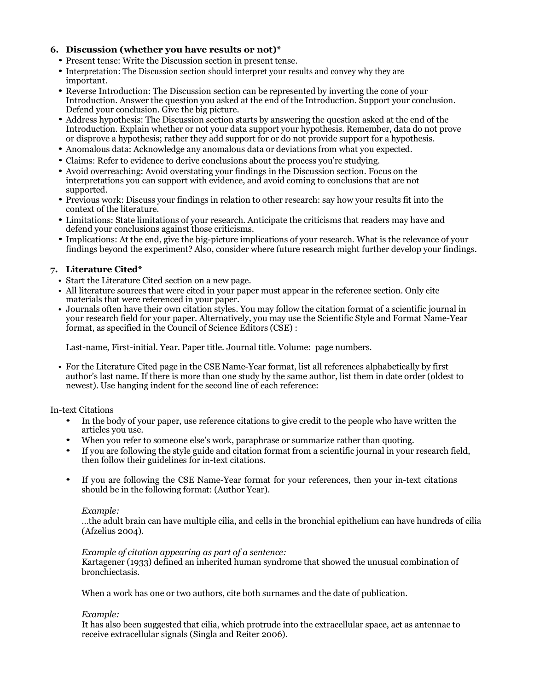# **6. Discussion (whether you have results or not)\***

- Present tense: Write the Discussion section in present tense.
- Interpretation: The Discussion section should interpret your results and convey why they are important.
- Reverse Introduction: The Discussion section can be represented by inverting the cone of your Introduction. Answer the question you asked at the end of the Introduction. Support your conclusion. Defend your conclusion. Give the big picture.
- Address hypothesis: The Discussion section starts by answering the question asked at the end of the Introduction. Explain whether or not your data support your hypothesis. Remember, data do not prove or disprove a hypothesis; rather they add support for or do not provide support for a hypothesis.
- Anomalous data: Acknowledge any anomalous data or deviations from what you expected.
- Claims: Refer to evidence to derive conclusions about the process you're studying.
- Avoid overreaching: Avoid overstating your findings in the Discussion section. Focus on the interpretations you can support with evidence, and avoid coming to conclusions that are not supported.
- Previous work: Discuss your findings in relation to other research: say how your results fit into the context of the literature.
- Limitations: State limitations of your research. Anticipate the criticisms that readers may have and defend your conclusions against those criticisms.
- Implications: At the end, give the big-picture implications of your research. What is the relevance of your findings beyond the experiment? Also, consider where future research might further develop your findings.

# **7. Literature Cited\***

- Start the Literature Cited section on a new page.
- All literature sources that were cited in your paper must appear in the reference section. Only cite materials that were referenced in your paper.
- Journals often have their own citation styles. You may follow the citation format of a scientific journal in your research field for your paper. Alternatively, you may use the Scientific Style and Format Name-Year format, as specified in the Council of Science Editors (CSE) :

Last-name, First-initial. Year. Paper title. Journal title. Volume: page numbers.

• For the Literature Cited page in the CSE Name-Year format, list all references alphabetically by first author's last name. If there is more than one study by the same author, list them in date order (oldest to newest). Use hanging indent for the second line of each reference:

In-text Citations

- In the body of your paper, use reference citations to give credit to the people who have written the articles you use.
- When you refer to someone else's work, paraphrase or summarize rather than quoting.
- If you are following the style guide and citation format from a scientific journal in your research field, then follow their guidelines for in-text citations.
- If you are following the CSE Name-Year format for your references, then your in-text citations should be in the following format: (Author Year).

## *Example:*

…the adult brain can have multiple cilia, and cells in the bronchial epithelium can have hundreds of cilia (Afzelius 2004).

## *Example of citation appearing as part of a sentence:*

Kartagener (1933) defined an inherited human syndrome that showed the unusual combination of bronchiectasis.

When a work has one or two authors, cite both surnames and the date of publication.

## *Example:*

It has also been suggested that cilia, which protrude into the extracellular space, act as antennae to receive extracellular signals (Singla and Reiter 2006).